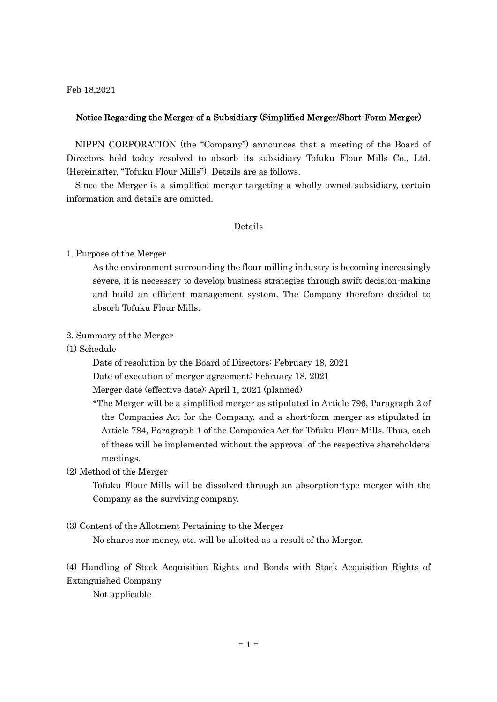Feb 18,2021

### Notice Regarding the Merger of a Subsidiary (Simplified Merger/Short-Form Merger)

NIPPN CORPORATION (the "Company") announces that a meeting of the Board of Directors held today resolved to absorb its subsidiary Tofuku Flour Mills Co., Ltd. (Hereinafter, "Tofuku Flour Mills"). Details are as follows.

Since the Merger is a simplified merger targeting a wholly owned subsidiary, certain information and details are omitted.

#### Details

#### 1. Purpose of the Merger

As the environment surrounding the flour milling industry is becoming increasingly severe, it is necessary to develop business strategies through swift decision-making and build an efficient management system. The Company therefore decided to absorb Tofuku Flour Mills.

# 2. Summary of the Merger

(1) Schedule

Date of resolution by the Board of Directors: February 18, 2021

Date of execution of merger agreement: February 18, 2021

Merger date (effective date): April 1, 2021 (planned)

\*The Merger will be a simplified merger as stipulated in Article 796, Paragraph 2 of the Companies Act for the Company, and a short-form merger as stipulated in Article 784, Paragraph 1 of the Companies Act for Tofuku Flour Mills. Thus, each of these will be implemented without the approval of the respective shareholders' meetings.

## (2) Method of the Merger

Tofuku Flour Mills will be dissolved through an absorption-type merger with the Company as the surviving company.

#### (3) Content of the Allotment Pertaining to the Merger

No shares nor money, etc. will be allotted as a result of the Merger.

(4) Handling of Stock Acquisition Rights and Bonds with Stock Acquisition Rights of Extinguished Company

Not applicable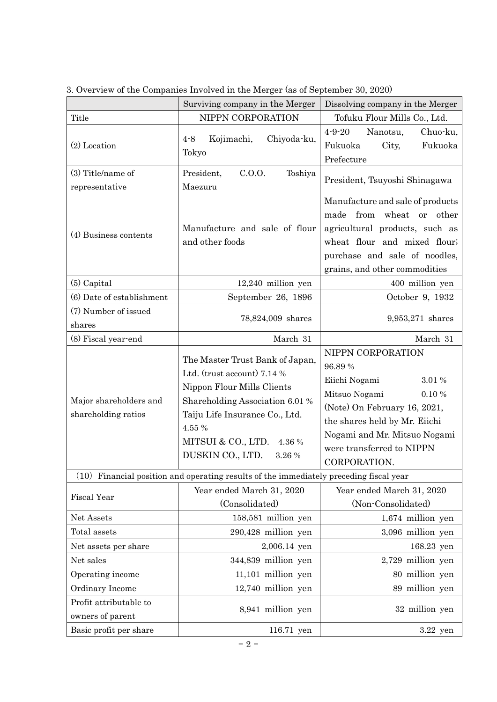|                                                                                        | Surviving company in the Merger                                                                                                                                                                                                           | Dissolving company in the Merger                                                                                                                                                                                               |
|----------------------------------------------------------------------------------------|-------------------------------------------------------------------------------------------------------------------------------------------------------------------------------------------------------------------------------------------|--------------------------------------------------------------------------------------------------------------------------------------------------------------------------------------------------------------------------------|
| Title                                                                                  | NIPPN CORPORATION                                                                                                                                                                                                                         | Tofuku Flour Mills Co., Ltd.                                                                                                                                                                                                   |
| $(2)$ Location                                                                         | $4 - 8$<br>Kojimachi,<br>Chiyoda-ku,<br>Tokyo                                                                                                                                                                                             | $4 - 9 - 20$<br>Chuo-ku,<br>Nanotsu,<br>Fukuoka<br>Fukuoka<br>City,<br>Prefecture                                                                                                                                              |
| $(3)$ Title/name of                                                                    | President,<br>C.0.0.<br>Toshiya                                                                                                                                                                                                           |                                                                                                                                                                                                                                |
| representative                                                                         | Maezuru                                                                                                                                                                                                                                   | President, Tsuyoshi Shinagawa                                                                                                                                                                                                  |
| (4) Business contents                                                                  | Manufacture and sale of flour<br>and other foods                                                                                                                                                                                          | Manufacture and sale of products<br>made from wheat or<br>other<br>agricultural products, such as<br>wheat flour and mixed flour;<br>purchase and sale of noodles,<br>grains, and other commodities                            |
| $(5)$ Capital                                                                          | $12,240$ million yen                                                                                                                                                                                                                      | 400 million yen                                                                                                                                                                                                                |
| (6) Date of establishment                                                              | September 26, 1896                                                                                                                                                                                                                        | October 9, 1932                                                                                                                                                                                                                |
| (7) Number of issued<br>shares                                                         | 78,824,009 shares                                                                                                                                                                                                                         | 9,953,271 shares                                                                                                                                                                                                               |
| (8) Fiscal year-end                                                                    | March 31                                                                                                                                                                                                                                  | March 31                                                                                                                                                                                                                       |
| Major shareholders and<br>shareholding ratios                                          | The Master Trust Bank of Japan,<br>Ltd. (trust account) 7.14 %<br>Nippon Flour Mills Clients<br>Shareholding Association 6.01 %<br>Taiju Life Insurance Co., Ltd.<br>4.55 %<br>MITSUI & CO., LTD.<br>4.36 %<br>DUSKIN CO., LTD.<br>3.26 % | NIPPN CORPORATION<br>96.89%<br>Eiichi Nogami<br>3.01 %<br>Mitsuo Nogami<br>0.10%<br>(Note) On February 16, 2021,<br>the shares held by Mr. Eiichi<br>Nogami and Mr. Mitsuo Nogami<br>were transferred to NIPPN<br>CORPORATION. |
| (10) Financial position and operating results of the immediately preceding fiscal year |                                                                                                                                                                                                                                           |                                                                                                                                                                                                                                |
| <b>Fiscal Year</b>                                                                     | Year ended March 31, 2020<br>(Consolidated)                                                                                                                                                                                               | Year ended March 31, 2020<br>(Non-Consolidated)                                                                                                                                                                                |
| Net Assets                                                                             | 158,581 million yen                                                                                                                                                                                                                       | 1,674 million yen                                                                                                                                                                                                              |
| Total assets                                                                           | 290,428 million yen                                                                                                                                                                                                                       | 3,096 million yen                                                                                                                                                                                                              |
| Net assets per share                                                                   | 2,006.14 yen                                                                                                                                                                                                                              | 168.23 yen                                                                                                                                                                                                                     |
| Net sales                                                                              | 344,839 million yen                                                                                                                                                                                                                       | 2,729 million yen                                                                                                                                                                                                              |
| Operating income                                                                       | 11,101 million yen                                                                                                                                                                                                                        | 80 million yen                                                                                                                                                                                                                 |
| Ordinary Income                                                                        | 12,740 million yen                                                                                                                                                                                                                        | 89 million yen                                                                                                                                                                                                                 |
| Profit attributable to<br>owners of parent                                             | 8,941 million yen                                                                                                                                                                                                                         | 32 million yen                                                                                                                                                                                                                 |
| Basic profit per share                                                                 | 116.71 yen                                                                                                                                                                                                                                | $3.22$ yen                                                                                                                                                                                                                     |

3. Overview of the Companies Involved in the Merger (as of September 30, 2020)